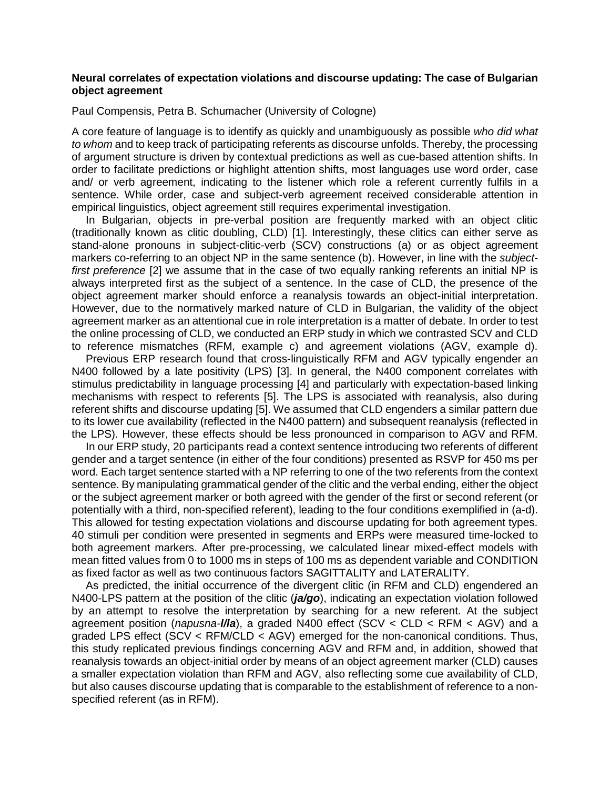# **Neural correlates of expectation violations and discourse updating: The case of Bulgarian object agreement**

Paul Compensis, Petra B. Schumacher (University of Cologne)

A core feature of language is to identify as quickly and unambiguously as possible *who did what to whom* and to keep track of participating referents as discourse unfolds. Thereby, the processing of argument structure is driven by contextual predictions as well as cue-based attention shifts. In order to facilitate predictions or highlight attention shifts, most languages use word order, case and/ or verb agreement, indicating to the listener which role a referent currently fulfils in a sentence. While order, case and subject-verb agreement received considerable attention in empirical linguistics, object agreement still requires experimental investigation.

In Bulgarian, objects in pre-verbal position are frequently marked with an object clitic (traditionally known as clitic doubling, CLD) [1]. Interestingly, these clitics can either serve as stand-alone pronouns in subject-clitic-verb (SCV) constructions (a) or as object agreement markers co-referring to an object NP in the same sentence (b). However, in line with the *subjectfirst preference* [2] we assume that in the case of two equally ranking referents an initial NP is always interpreted first as the subject of a sentence. In the case of CLD, the presence of the object agreement marker should enforce a reanalysis towards an object-initial interpretation. However, due to the normatively marked nature of CLD in Bulgarian, the validity of the object agreement marker as an attentional cue in role interpretation is a matter of debate. In order to test the online processing of CLD, we conducted an ERP study in which we contrasted SCV and CLD to reference mismatches (RFM, example c) and agreement violations (AGV, example d).

Previous ERP research found that cross-linguistically RFM and AGV typically engender an N400 followed by a late positivity (LPS) [3]. In general, the N400 component correlates with stimulus predictability in language processing [4] and particularly with expectation-based linking mechanisms with respect to referents [5]. The LPS is associated with reanalysis, also during referent shifts and discourse updating [5]. We assumed that CLD engenders a similar pattern due to its lower cue availability (reflected in the N400 pattern) and subsequent reanalysis (reflected in the LPS). However, these effects should be less pronounced in comparison to AGV and RFM.

In our ERP study, 20 participants read a context sentence introducing two referents of different gender and a target sentence (in either of the four conditions) presented as RSVP for 450 ms per word. Each target sentence started with a NP referring to one of the two referents from the context sentence. By manipulating grammatical gender of the clitic and the verbal ending, either the object or the subject agreement marker or both agreed with the gender of the first or second referent (or potentially with a third, non-specified referent), leading to the four conditions exemplified in (a-d). This allowed for testing expectation violations and discourse updating for both agreement types. 40 stimuli per condition were presented in segments and ERPs were measured time-locked to both agreement markers. After pre-processing, we calculated linear mixed-effect models with mean fitted values from 0 to 1000 ms in steps of 100 ms as dependent variable and CONDITION as fixed factor as well as two continuous factors SAGITTALITY and LATERALITY.

As predicted, the initial occurrence of the divergent clitic (in RFM and CLD) engendered an N400-LPS pattern at the position of the clitic (*ja/go*), indicating an expectation violation followed by an attempt to resolve the interpretation by searching for a new referent. At the subject agreement position (*napusna-l/la*), a graded N400 effect (SCV < CLD < RFM < AGV) and a graded LPS effect (SCV < RFM/CLD < AGV) emerged for the non-canonical conditions. Thus, this study replicated previous findings concerning AGV and RFM and, in addition, showed that reanalysis towards an object-initial order by means of an object agreement marker (CLD) causes a smaller expectation violation than RFM and AGV, also reflecting some cue availability of CLD, but also causes discourse updating that is comparable to the establishment of reference to a nonspecified referent (as in RFM).